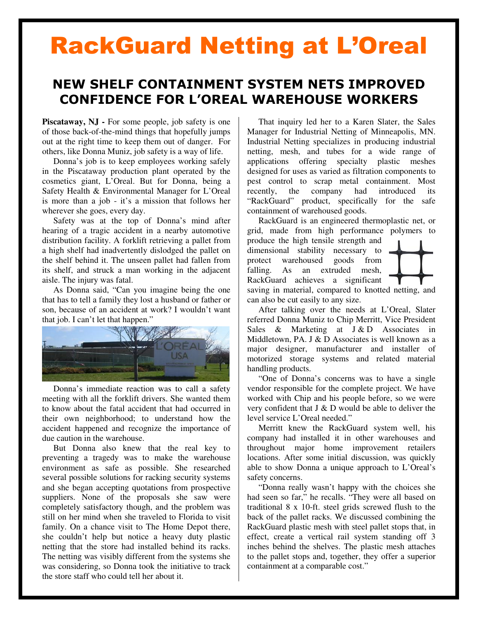## RackGuard Netting at L'Oreal

## NEW SHELF CONTAINMENT SYSTEM NETS IMPROVED CONFIDENCE FOR L'OREAL WAREHOUSE WORKERS

**Piscataway, NJ -** For some people, job safety is one of those back-of-the-mind things that hopefully jumps out at the right time to keep them out of danger. For others, like Donna Muniz, job safety is a way of life.

Donna's job is to keep employees working safely in the Piscataway production plant operated by the cosmetics giant, L'Oreal. But for Donna, being a Safety Health & Environmental Manager for L'Oreal is more than a job - it's a mission that follows her wherever she goes, every day.

Safety was at the top of Donna's mind after hearing of a tragic accident in a nearby automotive distribution facility. A forklift retrieving a pallet from a high shelf had inadvertently dislodged the pallet on the shelf behind it. The unseen pallet had fallen from its shelf, and struck a man working in the adjacent aisle. The injury was fatal.

As Donna said, "Can you imagine being the one that has to tell a family they lost a husband or father or son, because of an accident at work? I wouldn't want that job. I can't let that happen."



Donna's immediate reaction was to call a safety meeting with all the forklift drivers. She wanted them to know about the fatal accident that had occurred in their own neighborhood; to understand how the accident happened and recognize the importance of due caution in the warehouse.

But Donna also knew that the real key to preventing a tragedy was to make the warehouse environment as safe as possible. She researched several possible solutions for racking security systems and she began accepting quotations from prospective suppliers. None of the proposals she saw were completely satisfactory though, and the problem was still on her mind when she traveled to Florida to visit family. On a chance visit to The Home Depot there, she couldn't help but notice a heavy duty plastic netting that the store had installed behind its racks. The netting was visibly different from the systems she was considering, so Donna took the initiative to track the store staff who could tell her about it.

That inquiry led her to a Karen Slater, the Sales Manager for Industrial Netting of Minneapolis, MN. Industrial Netting specializes in producing industrial netting, mesh, and tubes for a wide range of applications offering specialty plastic meshes designed for uses as varied as filtration components to pest control to scrap metal containment. Most recently, the company had introduced its "RackGuard" product, specifically for the safe containment of warehoused goods.

RackGuard is an engineered thermoplastic net, or grid, made from high performance polymers to produce the high tensile strength and dimensional stability necessary to protect warehoused goods from falling. As an extruded mesh, RackGuard achieves a significant saving in material, compared to knotted netting, and can also be cut easily to any size.

After talking over the needs at L'Oreal, Slater referred Donna Muniz to Chip Merritt, Vice President Sales & Marketing at J & D Associates in Middletown, PA. J & D Associates is well known as a major designer, manufacturer and installer of motorized storage systems and related material handling products.

"One of Donna's concerns was to have a single vendor responsible for the complete project. We have worked with Chip and his people before, so we were very confident that J & D would be able to deliver the level service L'Oreal needed."

Merritt knew the RackGuard system well, his company had installed it in other warehouses and throughout major home improvement retailers locations. After some initial discussion, was quickly able to show Donna a unique approach to L'Oreal's safety concerns.

"Donna really wasn't happy with the choices she had seen so far," he recalls. "They were all based on traditional 8 x 10-ft. steel grids screwed flush to the back of the pallet racks. We discussed combining the RackGuard plastic mesh with steel pallet stops that, in effect, create a vertical rail system standing off 3 inches behind the shelves. The plastic mesh attaches to the pallet stops and, together, they offer a superior containment at a comparable cost."